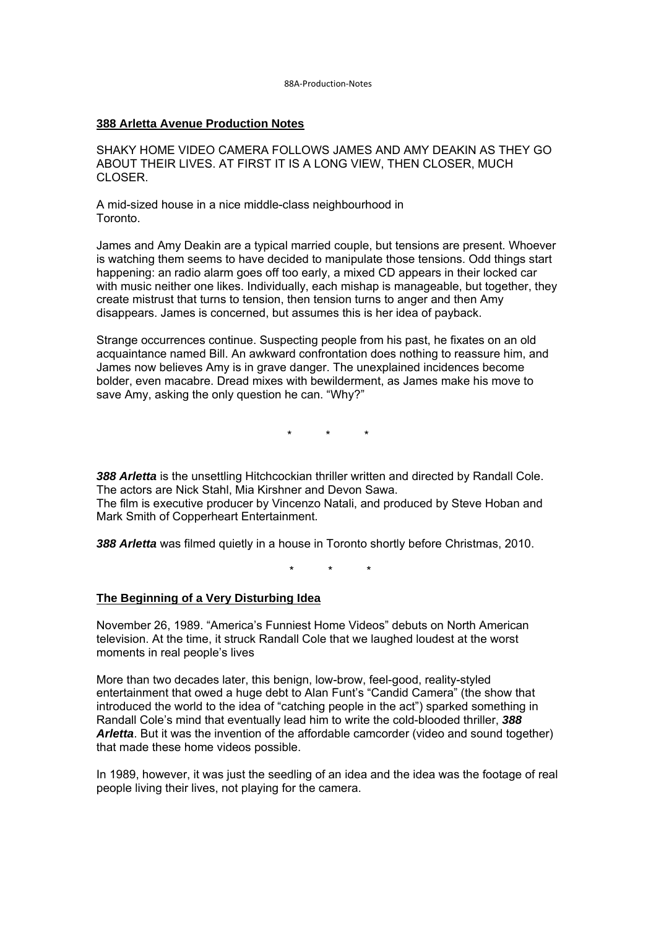#### **388 Arletta Avenue Production Notes**

SHAKY HOME VIDEO CAMERA FOLLOWS JAMES AND AMY DEAKIN AS THEY GO ABOUT THEIR LIVES. AT FIRST IT IS A LONG VIEW, THEN CLOSER, MUCH CLOSER.

A mid-sized house in a nice middle-class neighbourhood in Toronto.

James and Amy Deakin are a typical married couple, but tensions are present. Whoever is watching them seems to have decided to manipulate those tensions. Odd things start happening: an radio alarm goes off too early, a mixed CD appears in their locked car with music neither one likes. Individually, each mishap is manageable, but together, they create mistrust that turns to tension, then tension turns to anger and then Amy disappears. James is concerned, but assumes this is her idea of payback.

Strange occurrences continue. Suspecting people from his past, he fixates on an old acquaintance named Bill. An awkward confrontation does nothing to reassure him, and James now believes Amy is in grave danger. The unexplained incidences become bolder, even macabre. Dread mixes with bewilderment, as James make his move to save Amy, asking the only question he can. "Why?"

\* \* \*

388 Arletta is the unsettling Hitchcockian thriller written and directed by Randall Cole. The actors are Nick Stahl, Mia Kirshner and Devon Sawa. The film is executive producer by Vincenzo Natali, and produced by Steve Hoban and Mark Smith of Copperheart Entertainment.

*388 Arletta* was filmed quietly in a house in Toronto shortly before Christmas, 2010.

\* \* \*

## **The Beginning of a Very Disturbing Idea**

November 26, 1989. "America's Funniest Home Videos" debuts on North American television. At the time, it struck Randall Cole that we laughed loudest at the worst moments in real people's lives

More than two decades later, this benign, low-brow, feel-good, reality-styled entertainment that owed a huge debt to Alan Funt's "Candid Camera" (the show that introduced the world to the idea of "catching people in the act") sparked something in Randall Cole's mind that eventually lead him to write the cold-blooded thriller, *388 Arletta*. But it was the invention of the affordable camcorder (video and sound together) that made these home videos possible.

In 1989, however, it was just the seedling of an idea and the idea was the footage of real people living their lives, not playing for the camera.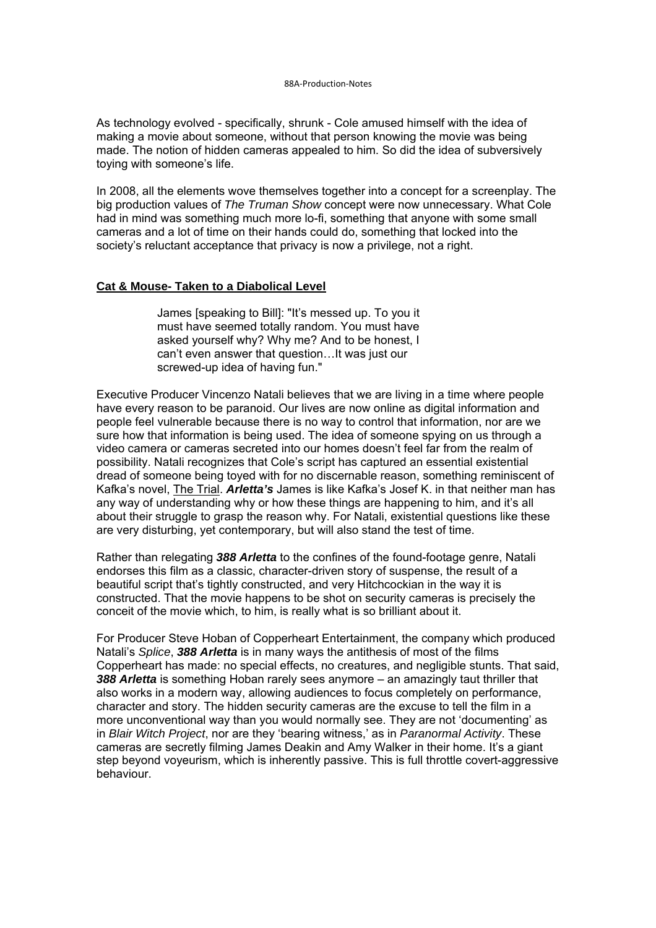As technology evolved - specifically, shrunk - Cole amused himself with the idea of making a movie about someone, without that person knowing the movie was being made. The notion of hidden cameras appealed to him. So did the idea of subversively toying with someone's life.

In 2008, all the elements wove themselves together into a concept for a screenplay. The big production values of *The Truman Show* concept were now unnecessary. What Cole had in mind was something much more lo-fi, something that anyone with some small cameras and a lot of time on their hands could do, something that locked into the society's reluctant acceptance that privacy is now a privilege, not a right.

### **Cat & Mouse- Taken to a Diabolical Level**

James [speaking to Bill]: "It's messed up. To you it must have seemed totally random. You must have asked yourself why? Why me? And to be honest, I can't even answer that question…It was just our screwed-up idea of having fun."

Executive Producer Vincenzo Natali believes that we are living in a time where people have every reason to be paranoid. Our lives are now online as digital information and people feel vulnerable because there is no way to control that information, nor are we sure how that information is being used. The idea of someone spying on us through a video camera or cameras secreted into our homes doesn't feel far from the realm of possibility. Natali recognizes that Cole's script has captured an essential existential dread of someone being toyed with for no discernable reason, something reminiscent of Kafka's novel, The Trial. *Arletta's* James is like Kafka's Josef K. in that neither man has any way of understanding why or how these things are happening to him, and it's all about their struggle to grasp the reason why. For Natali, existential questions like these are very disturbing, yet contemporary, but will also stand the test of time.

Rather than relegating *388 Arletta* to the confines of the found-footage genre, Natali endorses this film as a classic, character-driven story of suspense, the result of a beautiful script that's tightly constructed, and very Hitchcockian in the way it is constructed. That the movie happens to be shot on security cameras is precisely the conceit of the movie which, to him, is really what is so brilliant about it.

For Producer Steve Hoban of Copperheart Entertainment, the company which produced Natali's *Splice*, *388 Arletta* is in many ways the antithesis of most of the films Copperheart has made: no special effects, no creatures, and negligible stunts. That said, *388 Arletta* is something Hoban rarely sees anymore – an amazingly taut thriller that also works in a modern way, allowing audiences to focus completely on performance, character and story. The hidden security cameras are the excuse to tell the film in a more unconventional way than you would normally see. They are not 'documenting' as in *Blair Witch Project*, nor are they 'bearing witness,' as in *Paranormal Activity*. These cameras are secretly filming James Deakin and Amy Walker in their home. It's a giant step beyond voyeurism, which is inherently passive. This is full throttle covert-aggressive behaviour.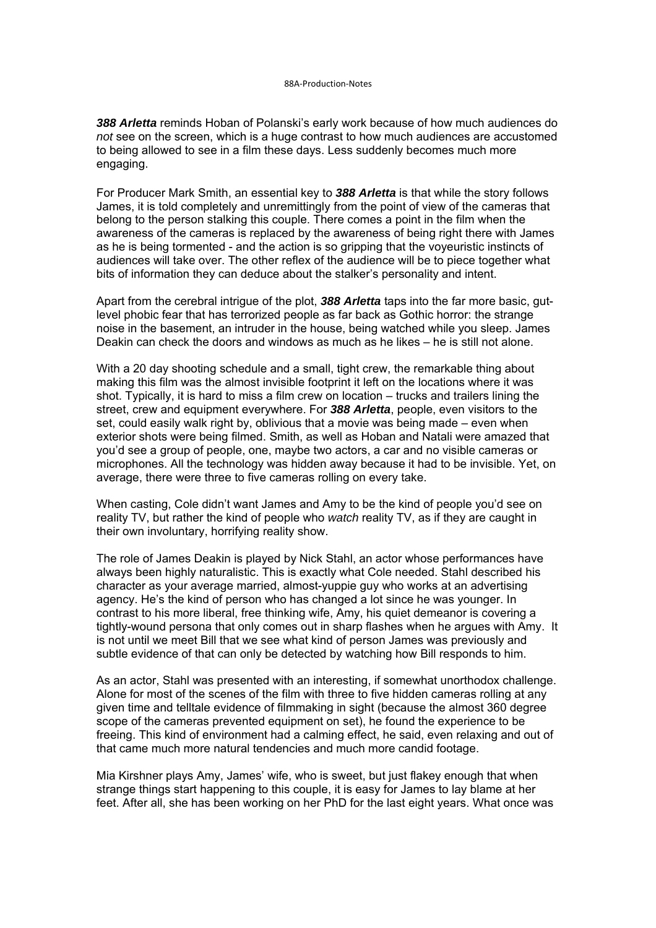*388 Arletta* reminds Hoban of Polanski's early work because of how much audiences do *not* see on the screen, which is a huge contrast to how much audiences are accustomed to being allowed to see in a film these days. Less suddenly becomes much more engaging.

For Producer Mark Smith, an essential key to *388 Arletta* is that while the story follows James, it is told completely and unremittingly from the point of view of the cameras that belong to the person stalking this couple. There comes a point in the film when the awareness of the cameras is replaced by the awareness of being right there with James as he is being tormented - and the action is so gripping that the voyeuristic instincts of audiences will take over. The other reflex of the audience will be to piece together what bits of information they can deduce about the stalker's personality and intent.

Apart from the cerebral intrigue of the plot, *388 Arletta* taps into the far more basic, gutlevel phobic fear that has terrorized people as far back as Gothic horror: the strange noise in the basement, an intruder in the house, being watched while you sleep. James Deakin can check the doors and windows as much as he likes – he is still not alone.

With a 20 day shooting schedule and a small, tight crew, the remarkable thing about making this film was the almost invisible footprint it left on the locations where it was shot. Typically, it is hard to miss a film crew on location – trucks and trailers lining the street, crew and equipment everywhere. For *388 Arletta*, people, even visitors to the set, could easily walk right by, oblivious that a movie was being made – even when exterior shots were being filmed. Smith, as well as Hoban and Natali were amazed that you'd see a group of people, one, maybe two actors, a car and no visible cameras or microphones. All the technology was hidden away because it had to be invisible. Yet, on average, there were three to five cameras rolling on every take.

When casting, Cole didn't want James and Amy to be the kind of people you'd see on reality TV, but rather the kind of people who *watch* reality TV, as if they are caught in their own involuntary, horrifying reality show.

The role of James Deakin is played by Nick Stahl, an actor whose performances have always been highly naturalistic. This is exactly what Cole needed. Stahl described his character as your average married, almost-yuppie guy who works at an advertising agency. He's the kind of person who has changed a lot since he was younger. In contrast to his more liberal, free thinking wife, Amy, his quiet demeanor is covering a tightly-wound persona that only comes out in sharp flashes when he argues with Amy. It is not until we meet Bill that we see what kind of person James was previously and subtle evidence of that can only be detected by watching how Bill responds to him.

As an actor, Stahl was presented with an interesting, if somewhat unorthodox challenge. Alone for most of the scenes of the film with three to five hidden cameras rolling at any given time and telltale evidence of filmmaking in sight (because the almost 360 degree scope of the cameras prevented equipment on set), he found the experience to be freeing. This kind of environment had a calming effect, he said, even relaxing and out of that came much more natural tendencies and much more candid footage.

Mia Kirshner plays Amy, James' wife, who is sweet, but just flakey enough that when strange things start happening to this couple, it is easy for James to lay blame at her feet. After all, she has been working on her PhD for the last eight years. What once was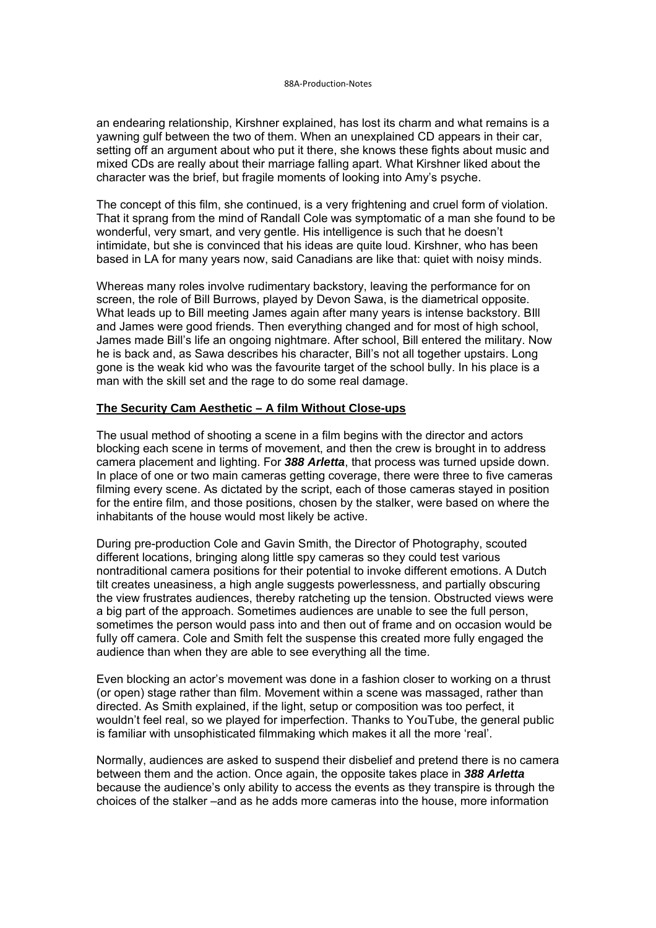an endearing relationship, Kirshner explained, has lost its charm and what remains is a yawning gulf between the two of them. When an unexplained CD appears in their car, setting off an argument about who put it there, she knows these fights about music and mixed CDs are really about their marriage falling apart. What Kirshner liked about the character was the brief, but fragile moments of looking into Amy's psyche.

The concept of this film, she continued, is a very frightening and cruel form of violation. That it sprang from the mind of Randall Cole was symptomatic of a man she found to be wonderful, very smart, and very gentle. His intelligence is such that he doesn't intimidate, but she is convinced that his ideas are quite loud. Kirshner, who has been based in LA for many years now, said Canadians are like that: quiet with noisy minds.

Whereas many roles involve rudimentary backstory, leaving the performance for on screen, the role of Bill Burrows, played by Devon Sawa, is the diametrical opposite. What leads up to Bill meeting James again after many years is intense backstory. BIll and James were good friends. Then everything changed and for most of high school, James made Bill's life an ongoing nightmare. After school, Bill entered the military. Now he is back and, as Sawa describes his character, Bill's not all together upstairs. Long gone is the weak kid who was the favourite target of the school bully. In his place is a man with the skill set and the rage to do some real damage.

### **The Security Cam Aesthetic – A film Without Close-ups**

The usual method of shooting a scene in a film begins with the director and actors blocking each scene in terms of movement, and then the crew is brought in to address camera placement and lighting. For *388 Arletta*, that process was turned upside down. In place of one or two main cameras getting coverage, there were three to five cameras filming every scene. As dictated by the script, each of those cameras stayed in position for the entire film, and those positions, chosen by the stalker, were based on where the inhabitants of the house would most likely be active.

During pre-production Cole and Gavin Smith, the Director of Photography, scouted different locations, bringing along little spy cameras so they could test various nontraditional camera positions for their potential to invoke different emotions. A Dutch tilt creates uneasiness, a high angle suggests powerlessness, and partially obscuring the view frustrates audiences, thereby ratcheting up the tension. Obstructed views were a big part of the approach. Sometimes audiences are unable to see the full person, sometimes the person would pass into and then out of frame and on occasion would be fully off camera. Cole and Smith felt the suspense this created more fully engaged the audience than when they are able to see everything all the time.

Even blocking an actor's movement was done in a fashion closer to working on a thrust (or open) stage rather than film. Movement within a scene was massaged, rather than directed. As Smith explained, if the light, setup or composition was too perfect, it wouldn't feel real, so we played for imperfection. Thanks to YouTube, the general public is familiar with unsophisticated filmmaking which makes it all the more 'real'.

Normally, audiences are asked to suspend their disbelief and pretend there is no camera between them and the action. Once again, the opposite takes place in *388 Arletta* because the audience's only ability to access the events as they transpire is through the choices of the stalker –and as he adds more cameras into the house, more information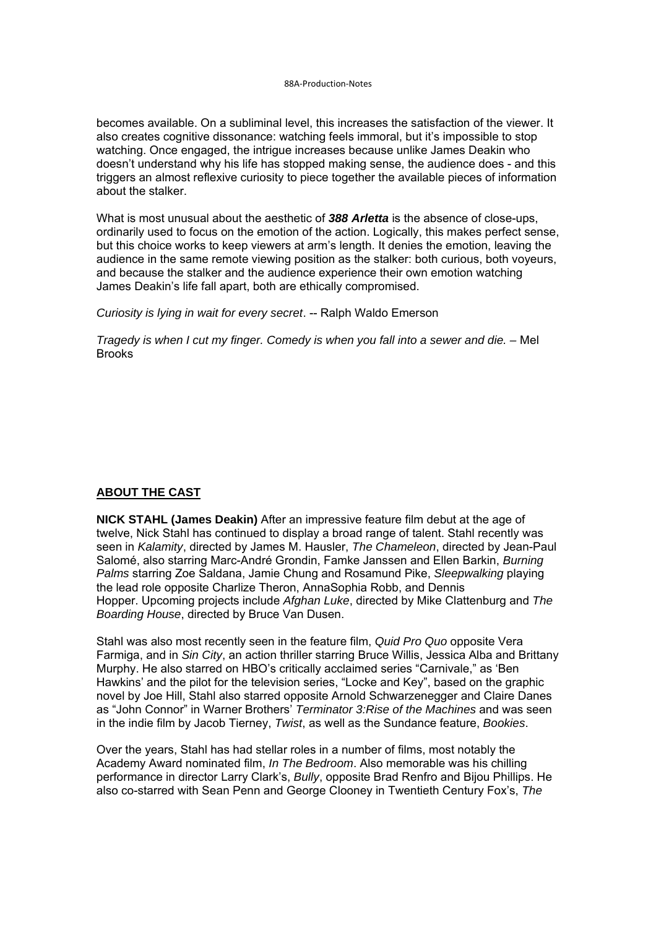becomes available. On a subliminal level, this increases the satisfaction of the viewer. It also creates cognitive dissonance: watching feels immoral, but it's impossible to stop watching. Once engaged, the intrigue increases because unlike James Deakin who doesn't understand why his life has stopped making sense, the audience does - and this triggers an almost reflexive curiosity to piece together the available pieces of information about the stalker.

What is most unusual about the aesthetic of *388 Arletta* is the absence of close-ups, ordinarily used to focus on the emotion of the action. Logically, this makes perfect sense, but this choice works to keep viewers at arm's length. It denies the emotion, leaving the audience in the same remote viewing position as the stalker: both curious, both voyeurs, and because the stalker and the audience experience their own emotion watching James Deakin's life fall apart, both are ethically compromised.

*Curiosity is lying in wait for every secret*. -- Ralph Waldo Emerson

*Tragedy is when I cut my finger. Comedy is when you fall into a sewer and die. –* Mel **Brooks** 

## **ABOUT THE CAST**

**NICK STAHL (James Deakin)** After an impressive feature film debut at the age of twelve, Nick Stahl has continued to display a broad range of talent. Stahl recently was seen in *Kalamity*, directed by James M. Hausler, *The Chameleon*, directed by Jean-Paul Salomé, also starring Marc-André Grondin, Famke Janssen and Ellen Barkin, *Burning Palms* starring Zoe Saldana, Jamie Chung and Rosamund Pike, *Sleepwalking* playing the lead role opposite Charlize Theron, AnnaSophia Robb, and Dennis Hopper. Upcoming projects include *Afghan Luke*, directed by Mike Clattenburg and *The Boarding House*, directed by Bruce Van Dusen.

Stahl was also most recently seen in the feature film, *Quid Pro Quo* opposite Vera Farmiga, and in *Sin City*, an action thriller starring Bruce Willis, Jessica Alba and Brittany Murphy. He also starred on HBO's critically acclaimed series "Carnivale," as 'Ben Hawkins' and the pilot for the television series, "Locke and Key", based on the graphic novel by Joe Hill, Stahl also starred opposite Arnold Schwarzenegger and Claire Danes as "John Connor" in Warner Brothers' *Terminator 3:Rise of the Machines* and was seen in the indie film by Jacob Tierney, *Twist*, as well as the Sundance feature, *Bookies*.

Over the years, Stahl has had stellar roles in a number of films, most notably the Academy Award nominated film, *In The Bedroom*. Also memorable was his chilling performance in director Larry Clark's, *Bully*, opposite Brad Renfro and Bijou Phillips. He also co-starred with Sean Penn and George Clooney in Twentieth Century Fox's, *The*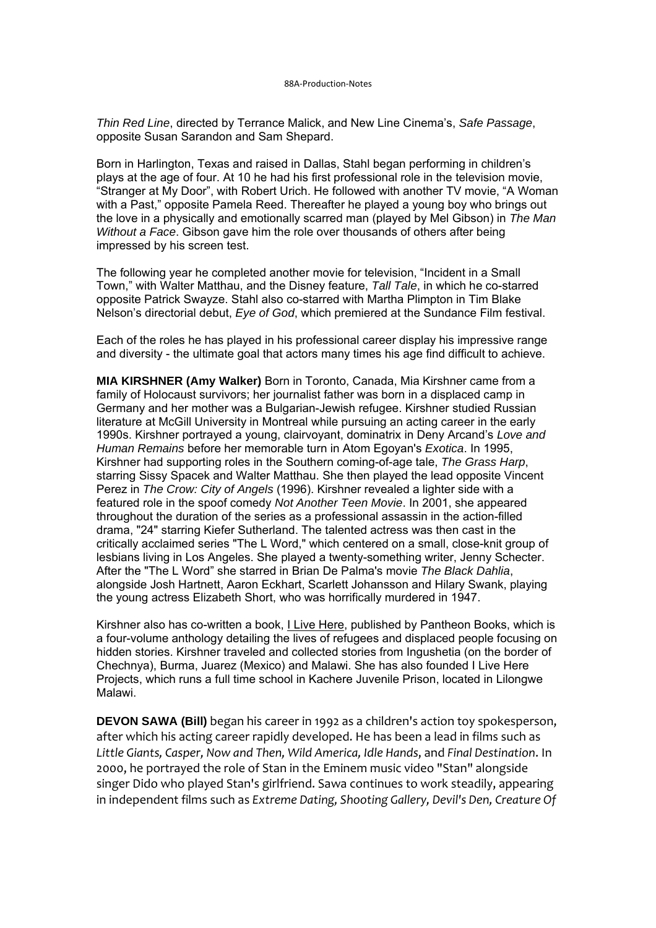*Thin Red Line*, directed by Terrance Malick, and New Line Cinema's, *Safe Passage*, opposite Susan Sarandon and Sam Shepard.

Born in Harlington, Texas and raised in Dallas, Stahl began performing in children's plays at the age of four. At 10 he had his first professional role in the television movie, "Stranger at My Door", with Robert Urich. He followed with another TV movie, "A Woman with a Past," opposite Pamela Reed. Thereafter he played a young boy who brings out the love in a physically and emotionally scarred man (played by Mel Gibson) in *The Man Without a Face*. Gibson gave him the role over thousands of others after being impressed by his screen test.

The following year he completed another movie for television, "Incident in a Small Town," with Walter Matthau, and the Disney feature, *Tall Tale*, in which he co-starred opposite Patrick Swayze. Stahl also co-starred with Martha Plimpton in Tim Blake Nelson's directorial debut, *Eye of God*, which premiered at the Sundance Film festival.

Each of the roles he has played in his professional career display his impressive range and diversity - the ultimate goal that actors many times his age find difficult to achieve.

**MIA KIRSHNER (Amy Walker)** Born in Toronto, Canada, Mia Kirshner came from a family of Holocaust survivors; her journalist father was born in a displaced camp in Germany and her mother was a Bulgarian-Jewish refugee. Kirshner studied Russian literature at McGill University in Montreal while pursuing an acting career in the early 1990s. Kirshner portrayed a young, clairvoyant, dominatrix in Deny Arcand's *Love and Human Remains* before her memorable turn in Atom Egoyan's *Exotica*. In 1995, Kirshner had supporting roles in the Southern coming-of-age tale, *The Grass Harp*, starring Sissy Spacek and Walter Matthau. She then played the lead opposite Vincent Perez in *The Crow: City of Angels* (1996). Kirshner revealed a lighter side with a featured role in the spoof comedy *Not Another Teen Movie*. In 2001, she appeared throughout the duration of the series as a professional assassin in the action-filled drama, "24" starring Kiefer Sutherland. The talented actress was then cast in the critically acclaimed series "The L Word," which centered on a small, close-knit group of lesbians living in Los Angeles. She played a twenty-something writer, Jenny Schecter. After the "The L Word" she starred in Brian De Palma's movie *The Black Dahlia*, alongside Josh Hartnett, Aaron Eckhart, Scarlett Johansson and Hilary Swank, playing the young actress Elizabeth Short, who was horrifically murdered in 1947.

Kirshner also has co-written a book, *I Live Here*, published by Pantheon Books, which is a four-volume anthology detailing the lives of refugees and displaced people focusing on hidden stories. Kirshner traveled and collected stories from Ingushetia (on the border of Chechnya), Burma, Juarez (Mexico) and Malawi. She has also founded I Live Here Projects, which runs a full time school in Kachere Juvenile Prison, located in Lilongwe Malawi.

**DEVON SAWA (Bill)** began his career in 1992 as a children's action toy spokesperson, after which his acting career rapidly developed. He has been a lead in films such as *Little Giants, Casper, Now and Then, Wild America, Idle Hands*, and *Final Destination*. In 2000, he portrayed the role of Stan in the Eminem music video "Stan" alongside singer Dido who played Stan's girlfriend. Sawa continues to work steadily, appearing in independent films such as *Extreme Dating, Shooting Gallery, Devil's Den, Creature Of*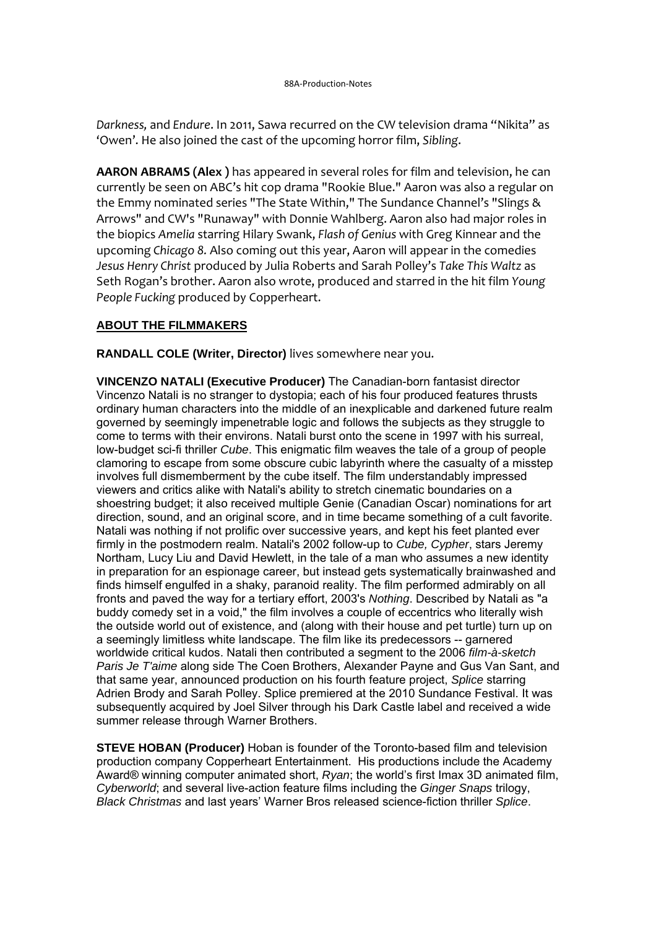*Darkness,* and *Endure*. In 2011, Sawa recurred on the CW television drama "Nikita" as 'Owen'. He also joined the cast of the upcoming horror film, *Sibling*.

**AARON ABRAMS (Alex )** has appeared in several roles for film and television, he can currently be seen on ABC's hit cop drama "Rookie Blue." Aaron was also a regular on the Emmy nominated series "The State Within," The Sundance Channel's "Slings & Arrows" and CW's "Runaway" with Donnie Wahlberg. Aaron also had major roles in the biopics *Amelia* starring Hilary Swank, *Flash of Genius* with Greg Kinnear and the upcoming *Chicago 8.* Also coming out this year, Aaron will appear in the comedies *Jesus Henry Christ* produced by Julia Roberts and Sarah Polley's *Take This Waltz* as Seth Rogan's brother. Aaron also wrote, produced and starred in the hit film *Young People Fucking* produced by Copperheart.

# **ABOUT THE FILMMAKERS**

**RANDALL COLE (Writer, Director)** lives somewhere near you.

**VINCENZO NATALI (Executive Producer)** The Canadian-born fantasist director Vincenzo Natali is no stranger to dystopia; each of his four produced features thrusts ordinary human characters into the middle of an inexplicable and darkened future realm governed by seemingly impenetrable logic and follows the subjects as they struggle to come to terms with their environs. Natali burst onto the scene in 1997 with his surreal, low-budget sci-fi thriller *Cube*. This enigmatic film weaves the tale of a group of people clamoring to escape from some obscure cubic labyrinth where the casualty of a misstep involves full dismemberment by the cube itself. The film understandably impressed viewers and critics alike with Natali's ability to stretch cinematic boundaries on a shoestring budget; it also received multiple Genie (Canadian Oscar) nominations for art direction, sound, and an original score, and in time became something of a cult favorite. Natali was nothing if not prolific over successive years, and kept his feet planted ever firmly in the postmodern realm. Natali's 2002 follow-up to *Cube, Cypher*, stars Jeremy Northam, Lucy Liu and David Hewlett, in the tale of a man who assumes a new identity in preparation for an espionage career, but instead gets systematically brainwashed and finds himself engulfed in a shaky, paranoid reality. The film performed admirably on all fronts and paved the way for a tertiary effort, 2003's *Nothing*. Described by Natali as "a buddy comedy set in a void," the film involves a couple of eccentrics who literally wish the outside world out of existence, and (along with their house and pet turtle) turn up on a seemingly limitless white landscape. The film like its predecessors -- garnered worldwide critical kudos. Natali then contributed a segment to the 2006 *film-à-sketch Paris Je T'aime* along side The Coen Brothers, Alexander Payne and Gus Van Sant, and that same year, announced production on his fourth feature project, *Splice* starring Adrien Brody and Sarah Polley. Splice premiered at the 2010 Sundance Festival. It was subsequently acquired by Joel Silver through his Dark Castle label and received a wide summer release through Warner Brothers.

**STEVE HOBAN (Producer)** Hoban is founder of the Toronto-based film and television production company Copperheart Entertainment. His productions include the Academy Award® winning computer animated short, *Ryan*; the world's first Imax 3D animated film, *Cyberworld*; and several live-action feature films including the *Ginger Snaps* trilogy, *Black Christmas* and last years' Warner Bros released science-fiction thriller *Splice*.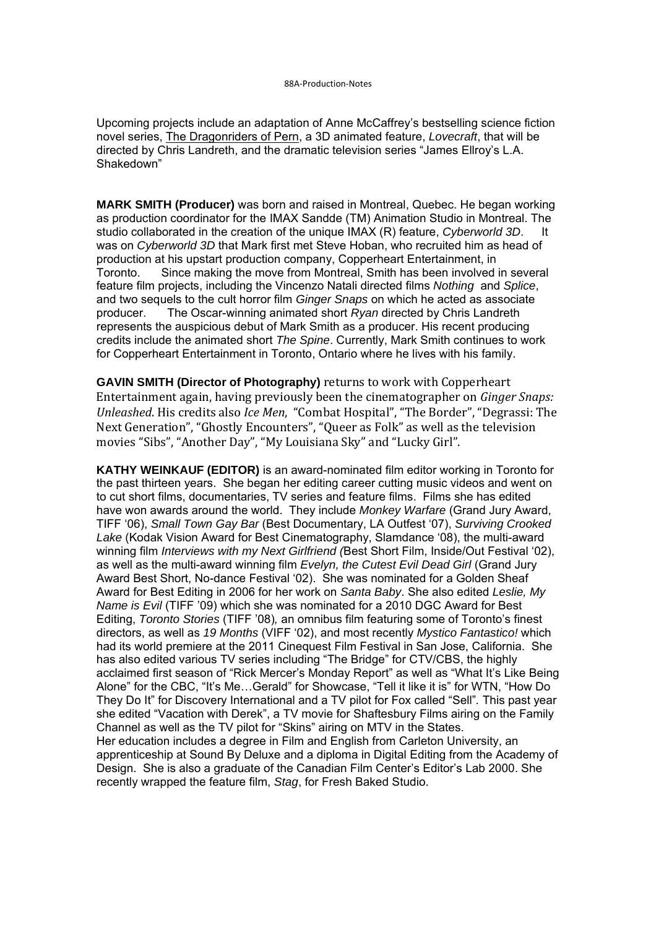Upcoming projects include an adaptation of Anne McCaffrey's bestselling science fiction novel series, The Dragonriders of Pern, a 3D animated feature, *Lovecraft*, that will be directed by Chris Landreth, and the dramatic television series "James Ellroy's L.A. Shakedown"

**MARK SMITH (Producer)** was born and raised in Montreal, Quebec. He began working as production coordinator for the IMAX Sandde (TM) Animation Studio in Montreal. The studio collaborated in the creation of the unique IMAX (R) feature, *Cyberworld 3D.* It was on *Cyberworld 3D* that Mark first met Steve Hoban, who recruited him as head of production at his upstart production company, Copperheart Entertainment, in Toronto. Since making the move from Montreal, Smith has been involved in several feature film projects, including the Vincenzo Natali directed films *Nothing* and *Splice*, and two sequels to the cult horror film *Ginger Snaps* on which he acted as associate producer. The Oscar-winning animated short *Ryan* directed by Chris Landreth represents the auspicious debut of Mark Smith as a producer. His recent producing credits include the animated short *The Spine*. Currently, Mark Smith continues to work for Copperheart Entertainment in Toronto, Ontario where he lives with his family.

**GAVIN SMITH (Director of Photography)** returns to work with Copperheart Entertainment again, having previously been the cinematographer on *Ginger Snaps: Unleashed*. His credits also *Ice Men*, "Combat Hospital", "The Border", "Degrassi: The Next Generation", "Ghostly Encounters", "Queer as Folk" as well as the television movies "Sibs", "Another Day", "My Louisiana Sky" and "Lucky Girl".

**KATHY WEINKAUF (EDITOR)** is an award-nominated film editor working in Toronto for the past thirteen years. She began her editing career cutting music videos and went on to cut short films, documentaries, TV series and feature films. Films she has edited have won awards around the world. They include *Monkey Warfare* (Grand Jury Award, TIFF '06), *Small Town Gay Bar* (Best Documentary, LA Outfest '07), *Surviving Crooked Lake* (Kodak Vision Award for Best Cinematography, Slamdance '08), the multi-award winning film *Interviews with my Next Girlfriend (*Best Short Film, Inside/Out Festival '02), as well as the multi-award winning film *Evelyn, the Cutest Evil Dead Girl* (Grand Jury Award Best Short, No-dance Festival '02). She was nominated for a Golden Sheaf Award for Best Editing in 2006 for her work on *Santa Baby*. She also edited *Leslie, My Name is Evil* (TIFF '09) which she was nominated for a 2010 DGC Award for Best Editing, *Toronto Stories* (TIFF '08)*,* an omnibus film featuring some of Toronto's finest directors, as well as *19 Months* (VIFF '02), and most recently *Mystico Fantastico!* which had its world premiere at the 2011 Cinequest Film Festival in San Jose, California. She has also edited various TV series including "The Bridge" for CTV/CBS, the highly acclaimed first season of "Rick Mercer's Monday Report" as well as "What It's Like Being Alone" for the CBC, "It's Me…Gerald" for Showcase, "Tell it like it is" for WTN, "How Do They Do It" for Discovery International and a TV pilot for Fox called "Sell"*.* This past year she edited "Vacation with Derek", a TV movie for Shaftesbury Films airing on the Family Channel as well as the TV pilot for "Skins" airing on MTV in the States. Her education includes a degree in Film and English from Carleton University, an apprenticeship at Sound By Deluxe and a diploma in Digital Editing from the Academy of Design. She is also a graduate of the Canadian Film Center's Editor's Lab 2000. She recently wrapped the feature film, *Stag*, for Fresh Baked Studio.